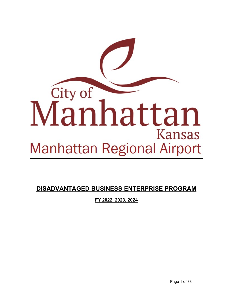

**DISADVANTAGED BUSINESS ENTERPRISE PROGRAM**

**FY 2022, 2023, 2024**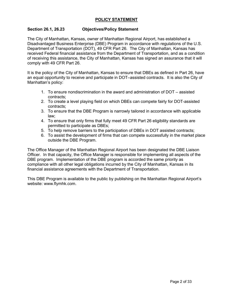# **POLICY STATEMENT**

## **Section 26.1, 26.23 Objectives/Policy Statement**

The City of Manhattan, Kansas, owner of Manhattan Regional Airport, has established a Disadvantaged Business Enterprise (DBE) Program in accordance with regulations of the U.S. Department of Transportation (DOT), 49 CFR Part 26. The City of Manhattan, Kansas has received Federal financial assistance from the Department of Transportation, and as a condition of receiving this assistance, the City of Manhattan, Kansas has signed an assurance that it will comply with 49 CFR Part 26.

It is the policy of the City of Manhattan, Kansas to ensure that DBEs as defined in Part 26, have an equal opportunity to receive and participate in DOT–assisted contracts. It is also the City of Manhattan's policy:

- 1. To ensure nondiscrimination in the award and administration of DOT assisted contracts;
- 2. To create a level playing field on which DBEs can compete fairly for DOT-assisted contracts;
- 3. To ensure that the DBE Program is narrowly tailored in accordance with applicable law;
- 4. To ensure that only firms that fully meet 49 CFR Part 26 eligibility standards are permitted to participate as DBEs;
- 5. To help remove barriers to the participation of DBEs in DOT assisted contracts;
- 6. To assist the development of firms that can compete successfully in the market place outside the DBE Program.

The Office Manager of the Manhattan Regional Airport has been designated the DBE Liaison Officer. In that capacity, the Office Manager is responsible for implementing all aspects of the DBE program. Implementation of the DBE program is accorded the same priority as compliance with all other legal obligations incurred by the City of Manhattan, Kansas in its financial assistance agreements with the Department of Transportation.

This DBE Program is available to the public by publishing on the Manhattan Regional Airport's website: www.flymhk.com.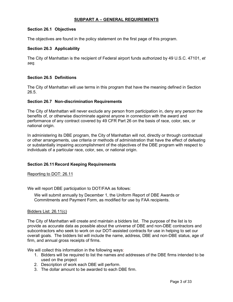## **SUBPART A – GENERAL REQUIREMENTS**

## **Section 26.1 Objectives**

The objectives are found in the policy statement on the first page of this program.

## **Section 26.3 Applicability**

The City of Manhattan is the recipient of Federal airport funds authorized by 49 U.S.C. 47101, *et seq.* 

### **Section 26.5 Definitions**

The City of Manhattan will use terms in this program that have the meaning defined in Section 26.5.

### **Section 26.7 Non-discrimination Requirements**

The City of Manhattan will never exclude any person from participation in, deny any person the benefits of, or otherwise discriminate against anyone in connection with the award and performance of any contract covered by 49 CFR Part 26 on the basis of race, color, sex, or national origin.

In administering its DBE program, the City of Manhattan will not, directly or through contractual or other arrangements, use criteria or methods of administration that have the effect of defeating or substantially impairing accomplishment of the objectives of the DBE program with respect to individuals of a particular race, color, sex, or national origin.

### **Section 26.11Record Keeping Requirements**

Reporting to DOT: 26.11

We will report DBE participation to DOT/FAA as follows:

We will submit annually by December 1, the Uniform Report of DBE Awards or Commitments and Payment Form, as modified for use by FAA recipients.

### Bidders List: 26.11(c)

The City of Manhattan will create and maintain a bidders list. The purpose of the list is to provide as accurate data as possible about the universe of DBE and non-DBE contractors and subcontractors who seek to work on our DOT-assisted contracts for use in helping to set our overall goals. The bidders list will include the name, address, DBE and non-DBE status, age of firm, and annual gross receipts of firms.

We will collect this information in the following ways:

- 1. Bidders will be required to list the names and addresses of the DBE firms intended to be used on the project
- 2. Description of work each DBE will perform.
- 3. The dollar amount to be awarded to each DBE firm.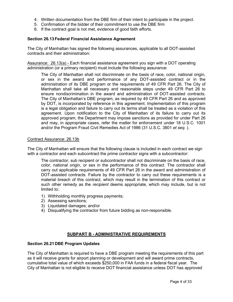- 4. Written documentation from the DBE firm of their intent to participate in the project.
- 5. Confirmation of the bidder of their commitment to use the DBE firm
- 6. If the contract goal is not met, evidence of good faith efforts.

### **Section 26.13Federal Financial Assistance Agreement**

The City of Manhattan has signed the following assurances, applicable to all DOT-assisted contracts and their administration:

Assurance: 26.13(a) - Each financial assistance agreement you sign with a DOT operating administration (or a primary recipient) must include the following assurance:

The City of Manhattan shall not discriminate on the basis of race, color, national origin, or sex in the award and performance of any DOT-assisted contract or in the administration of its DBE program or the requirements of 49 CFR Part 26. The City of Manhattan shall take all necessary and reasonable steps under 49 CFR Part 26 to ensure nondiscrimination in the award and administration of DOT-assisted contracts. The City of Manhattan's DBE program, as required by 49 CFR Part 26 and as approved by DOT, is incorporated by reference in this agreement. Implementation of this program is a legal obligation and failure to carry out its terms shall be treated as a violation of this agreement. Upon notification to the City of Manhattan of its failure to carry out its approved program, the Department may impose sanctions as provided for under Part 26 and may, in appropriate cases, refer the matter for enforcement under 18 U.S.C. 1001 and/or the Program Fraud Civil Remedies Act of 1986 (31 U.S.C. 3801 *et seq.* ).

### Contract Assurance: 26.13b

The City of Manhattan will ensure that the following clause is included in each contract we sign with a contractor and each subcontract the prime contractor signs with a subcontractor:

The contractor, sub recipient or subcontractor shall not discriminate on the basis of race, color, national origin, or sex in the performance of this contract. The contractor shall carry out applicable requirements of 49 CFR Part 26 in the award and administration of DOT-assisted contracts. Failure by the contractor to carry out these requirements is a material breach of this contract, which may result in the termination of this contract or such other remedy as the *recipient* deems appropriate, which may include, but is not limited to:.

- 1) Withholding monthly progress payments;
- 2) Assessing sanctions;
- 3) Liquidated damages; and/or
- 4) Disqualifying the contractor from future bidding as non-responsible.

## **SUBPART B - ADMINISTRATIVE REQUIREMENTS**

### **Section 26.21DBE Program Updates**

The City of Manhattan is required to have a DBE program meeting the requirements of this part as it will receive grants for airport planning or development and will award prime contracts, cumulative total value of which exceeds \$250,000 in FAA funds in a federal fiscal year. The City of Manhattan is not eligible to receive DOT financial assistance unless DOT has approved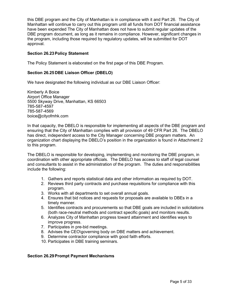this DBE program and the City of Manhattan is in compliance with it and Part 26. The City of Manhattan will continue to carry out this program until all funds from DOT financial assistance have been expended The City of Manhattan does not have to submit regular updates of the DBE program document, as long as it remains in compliance. However, significant changes in the program, including those required by regulatory updates, will be submitted for DOT approval.

## **Section 26.23Policy Statement**

The Policy Statement is elaborated on the first page of this DBE Program.

## **Section 26.25DBE Liaison Officer (DBELO)**

We have designated the following individual as our DBE Liaison Officer:

Kimberly A Boice Airport Office Manager 5500 Skyway Drive, Manhattan, KS 66503 785-587-4597 785-587-4569 boice@cityofmhk.com

In that capacity, the DBELO is responsible for implementing all aspects of the DBE program and ensuring that the City of Manhattan complies with all provision of 49 CFR Part 26. The DBELO has direct, independent access to the City Manager concerning DBE program matters. An organization chart displaying the DBELO's position in the organization is found in Attachment 2 to this program.

The DBELO is responsible for developing, implementing and monitoring the DBE program, in coordination with other appropriate officials. The DBELO has access to staff of legal counsel and consultants to assist in the administration of the program. The duties and responsibilities include the following:

- 1. Gathers and reports statistical data and other information as required by DOT.
- 2. Reviews third party contracts and purchase requisitions for compliance with this program.
- 3. Works with all departments to set overall annual goals.
- 4. Ensures that bid notices and requests for proposals are available to DBEs in a timely manner.
- 5. Identifies contracts and procurements so that DBE goals are included in solicitations (both race-neutral methods and contract specific goals) and monitors results.
- 6. Analyzes City of Manhattan progress toward attainment and identifies ways to improve progress.
- 7. Participates in pre-bid meetings.
- 8. Advises the CEO\governing body on DBE matters and achievement.
- 9. Determine contractor compliance with good faith efforts.
- 10. Participates in DBE training seminars.

### **Section 26.29Prompt Payment Mechanisms**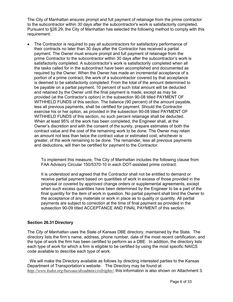The City of Manhattan ensures prompt and full payment of retainage from the prime contractor to the subcontractor within *30* days after the subcontractor's work is satisfactorily completed. Pursuant to §26.29, the City of Manhattan has selected the following method to comply with this requirement:

The Contractor is required to pay all subcontractors for satisfactory performance of their contracts no later than 30 days after the Contractor has received a partial payment. The Owner must ensure prompt and full payment of retainage from the prime Contractor to the subcontractor within 30 days after the subcontractor's work is satisfactorily completed. A subcontractor's work is satisfactorily completed when all the tasks called for in the subcontract have been accomplished and documented as required by the Owner. When the Owner has made an incremental acceptance of a portion of a prime contract, the work of a subcontractor covered by that acceptance is deemed to be satisfactorily completed. From the total of the amount determined to be payable on a partial payment, 10 percent of such total amount will be deducted and retained by the Owner until the final payment is made, except as may be provided (at the Contractor's option) in the subsection 90-08 titled PAYMENT OF WITHHELD FUNDS of this section. The balance (90 percent) of the amount payable, less all previous payments, shall be certified for payment. Should the Contractor exercise his or her option, as provided in the subsection 90-08 titled PAYMENT OF WITHHELD FUNDS of this section, no such percent retainage shall be deducted. When at least 95% of the work has been completed, the Engineer shall, at the Owner's discretion and with the consent of the surety, prepare estimates of both the contract value and the cost of the remaining work to be done. The Owner may retain an amount not less than twice the contract value or estimated cost, whichever is greater, of the work remaining to be done. The remainder, less all previous payments and deductions, will then be certified for payment to the Contractor.

To implement this measure, The City of Manhattan includes the following clause from FAA Advisory Circular 150/5370-10 in each DOT-assisted prime contract:

It is understood and agreed that the Contractor shall not be entitled to demand or receive partial payment based on quantities of work in excess of those provided in the proposal or covered by approved change orders or supplemental agreements, except when such excess quantities have been determined by the Engineer to be a part of the final quantity for the item of work in question. No partial payment shall bind the Owner to the acceptance of any materials or work in place as to quality or quantity. All partial payments are subject to correction at the time of final payment as provided in the subsection 90-09 titled ACCEPTANCE AND FINAL PAYMENT of this section.

## **Section 26.31Directory**

The *City of Manhattan* uses the State of Kansas DBE directory, maintained by the State. The directory lists the firm's name, address, phone number, date of the most recent certification, and the type of work the firm has been certified to perform as a DBE. In addition, the directory lists each type of work for which a firm is eligible to be certified by using the most specific NAICS code available to describe each type of work.

We will make the Directory available as follows by directing interested parties to the Kansas Department of Transportation's website. The Directory may be found at *[http://www.ksdot.org/bureaus/divadmin/civilrights/,](http://www.ksdot.org/bureaus/divadmin/civilrights/)* this information is also shown on Attachment 3.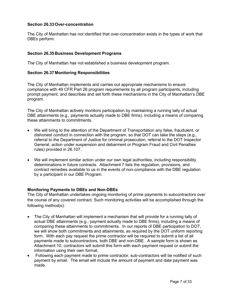## **Section 26.33Over-concentration**

The City of Manhattan has not identified that over-concentration exists in the types of work that DBEs perform.

## **Section 26.35Business Development Programs**

The City of Manhattan has not established a business development program.

## **Section 26.37 Monitoring Responsibilities**

The City of Manhattan implements and carries out appropriate mechanisms to ensure compliance with 49 CFR Part 26 program requirements by all program participants, including prompt payment, and describes and set forth these mechanisms in the City of Manhattan's DBE program.

The City of Manhattan actively monitors participation by maintaining a running tally of actual DBE attainments (e.g., payments actually made to DBE firms), including a means of comparing these attainments to commitments.

- We will bring to the attention of the Department of Transportation any false, fraudulent, or dishonest conduct in connection with the program, so that DOT can take the steps (e.g., referral to the Department of Justice for criminal prosecution, referral to the DOT Inspector General, action under suspension and debarment or Program Fraud and Civil Penalties rules) provided in 26.107.
- We will implement similar action under our own legal authorities, including responsibility determinations in future contracts. Attachment 7 lists the regulation, provisions, and contract remedies available to us in the events of non-compliance with the DBE regulation by a participant in our DBE Program.

## **Monitoring Payments to DBEs and Non-DBEs**

The City of Manhattan undertakes ongoing monitoring of prime payments to subcontractors over the course of any covered contract. Such monitoring activities will be accomplished through the following method(s):

- The City of Manhattan will implement a mechanism that will provide for a running tally of actual DBE attainments (e.g., payment actually made to DBE firms), including a means of comparing these attainments to commitments. In our reports of DBE participation to DOT, we will show both commitments and attainments, as required by the DOT uniform reporting form. With each pay request the prime contractor will be required to submit a list of all payments made to subcontractors, both DBE and non-DBE. A sample form is shown as Attachment 10, contractors will submit this form with each payment request or submit the information using their own format.
- Following each payment made to prime contractor, sub-contractors will be notified of such payment by email. The email will include the amount of payment and date payment was made.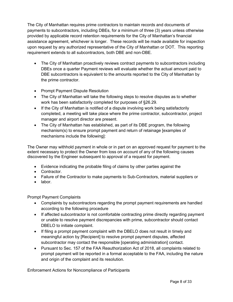The City of Manhattan requires prime contractors to maintain records and documents of payments to subcontractors, including DBEs, for a minimum of three (3) years unless otherwise provided by applicable record retention requirements for the City of Manhattan's financial assistance agreement, whichever is longer. These records will be made available for inspection upon request by any authorized representative of the City of Manhattan or DOT. This reporting requirement extends to all subcontractors, both DBE and non-DBE.

- The City of Manhattan proactively reviews contract payments to subcontractors including DBEs once a quarter Payment reviews will evaluate whether the actual amount paid to DBE subcontractors is equivalent to the amounts reported to the City of Manhattan by the prime contractor.
- Prompt Payment Dispute Resolution
- The City of Manhattan will take the following steps to resolve disputes as to whether work has been satisfactorily completed for purposes of §26.29.
- If the City of Manhattan is notified of a dispute involving work being satisfactorily completed, a meeting will take place where the prime contractor, subcontractor, project manager and airport director are present.
- The City of Manhattan has established, as part of its DBE program, the following mechanism(s) to ensure prompt payment and return of retainage [examples of mechanisms include the following]:

The Owner may withhold payment in whole or in part on an approved request for payment to the extent necessary to protect the Owner from loss on account of any of the following causes discovered by the Engineer subsequent to approval of a request for payment.

- Evidence indicating the probable filing of claims by other parties against the
- Contractor.
- Failure of the Contractor to make payments to Sub-Contractors, material suppliers or
- labor.

Prompt Payment Complaints

- Complaints by subcontractors regarding the prompt payment requirements are handled according to the following procedure
- If affected subcontractor is not comfortable contracting prime directly regarding payment or unable to resolve payment discrepancies with prime, subcontractor should contact DBELO to initiate complaint.
- If filing a prompt payment complaint with the DBELO does not result in timely and meaningful action by [Recipient] to resolve prompt payment disputes, affected subcontractor may contact the responsible [operating administration] contact.
- Pursuant to Sec. 157 of the FAA Reauthorization Act of 2018, all complaints related to prompt payment will be reported in a format acceptable to the FAA, including the nature and origin of the complaint and its resolution.

Enforcement Actions for Noncompliance of Participants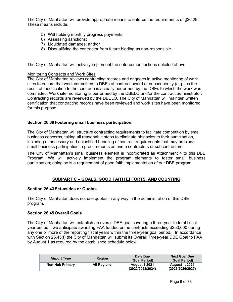The City of Manhattan will provide appropriate means to enforce the requirements of §26.29. These means include:

- 5) Withholding monthly progress payments;
- 6) Assessing sanctions;
- 7) Liquidated damages; and/or
- 8) Disqualifying the contractor from future bidding as non-responsible.

The City of Manhattan will actively implement the enforcement actions detailed above.

### Monitoring Contracts and Work Sites

The City of Manhattan reviews contracting records and engages in active monitoring of work sites to ensure that work committed to DBEs at contract award or subsequently (e.g., as the result of modification to the contract) is actually performed by the DBEs to which the work was committed. Work site monitoring is performed by the DBELO and/or the contract administrator. Contracting records are reviewed by the DBELO. The City of Manhattan will maintain written certification that contracting records have been reviewed and work sites have been monitored for this purpose.

## **Section 26.39Fostering small business participation.**

The City of Manhattan will structure contracting requirements to facilitate competition by small business concerns, taking all reasonable steps to eliminate obstacles to their participation, including unnecessary and unjustified bundling of contract requirements that may preclude small business participation in procurements as prime contractors or subcontractors.

The City of Manhattan's small business element is incorporated as Attachment 4 to this DBE Program. We will actively implement the program elements to foster small business participation; doing so is a requirement of good faith implementation of our DBE program.

# **SUBPART C – GOALS, GOOD FAITH EFFORTS, AND COUNTING**

## **Section 26.43Set-asides or Quotas**

The City of Manhattan does not use quotas in any way in the administration of this DBE program.

## **Section 26.45Overall Goals**

The City of Manhattan will establish an overall DBE goal covering a three-year federal fiscal year period if we anticipate awarding FAA funded prime contracts exceeding \$250,000 during any one or more of the reporting fiscal years within the three-year goal period. In accordance with Section 26.45(f) the City of Manhattan will submit its Overall Three-year DBE Goal to FAA by August 1 as required by the established schedule below.

| <b>Airport Type</b>    | <b>Region</b>      | Date Due<br>(Goal Period)                | <b>Next Goal Due</b><br>(Goal Period)     |
|------------------------|--------------------|------------------------------------------|-------------------------------------------|
| <b>Non-Hub Primary</b> | <b>All Regions</b> | <b>August 1 2021</b><br>(2022/2023/2024) | <b>August 1, 2024</b><br>(2025/2026/2027) |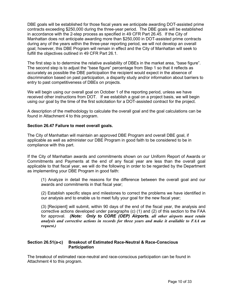DBE goals will be established for those fiscal years we anticipate awarding DOT-assisted prime contracts exceeding \$250,000 during the three-year period. The DBE goals will be established in accordance with the 2-step process as specified in 49 CFR Part 26.45. If the City of Manhattan does not anticipate awarding more than \$250,000 in DOT-assisted prime contracts during any of the years within the three-year reporting period, we will not develop an overall goal; however, this DBE Program will remain in effect and the City of Manhattan will seek to fulfill the objectives outlined in 49 CFR Part 26.1.

The first step is to determine the relative availability of DBEs in the market area, "base figure". The second step is to adjust the "base figure" percentage from Step 1 so that it reflects as accurately as possible the DBE participation the recipient would expect in the absence of discrimination based on past participation, a disparity study and/or information about barriers to entry to past competitiveness of DBEs on projects.

We will begin using our overall goal on October 1 of the reporting period, unless we have received other instructions from DOT. If we establish a goal on a project basis, we will begin using our goal by the time of the first solicitation for a DOT-assisted contract for the project.

A description of the methodology to calculate the overall goal and the goal calculations can be found in Attachment 4 to this program.

### **Section 26.47 Failure to meet overall goals.**

The City of Manhattan will maintain an approved DBE Program and overall DBE goal, if applicable as well as administer our DBE Program in good faith to be considered to be in compliance with this part.

If the City of Manhattan awards and commitments shown on our Uniform Report of Awards or Commitments and Payments at the end of any fiscal year are less than the overall goal applicable to that fiscal year, we will do the following in order to be regarded by the Department as implementing your DBE Program in good faith:

(1) Analyze in detail the reasons for the difference between the overall goal and our awards and commitments in that fiscal year;

(2) Establish specific steps and milestones to correct the problems we have identified in our analysis and to enable us to meet fully your goal for the new fiscal year;

(3) [Recipient] will submit, within 90 days of the end of the fiscal year, the analysis and corrective actions developed under paragraphs (c) (1) and (2) of this section to the FAA for approval. *(Note: Only to CORE (OEP) Airports. all other airports must retain analysis and corrective actions in records for three years and make it available to FAA on request.)*

### **Section 26.51(a-c) Breakout of Estimated Race-Neutral & Race-Conscious Participation**

The breakout of estimated race-neutral and race-conscious participation can be found in Attachment 4 to this program.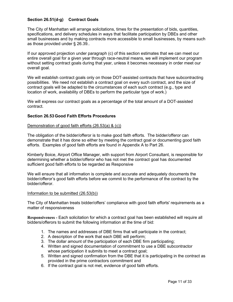## **Section 26.51(d-g) Contract Goals**

The City of Manhattan will arrange solicitations, times for the presentation of bids, quantities, specifications, and delivery schedules in ways that facilitate participation by DBEs and other small businesses and by making contracts more accessible to small businesses, by means such as those provided under § 26.39..

If our approved projection under paragraph (c) of this section estimates that we can meet our entire overall goal for a given year through race-neutral means, we will implement our program without setting contract goals during that year, unless it becomes necessary in order meet our overall goal.

We will establish contract goals only on those DOT-assisted contracts that have subcontracting possibilities. We need not establish a contract goal on every such contract, and the size of contract goals will be adapted to the circumstances of each such contract (e.g., type and location of work, availability of DBEs to perform the particular type of work.)

We will express our contract goals as a percentage of the total amount of a DOT-assisted contract.

### **Section 26.53Good Faith Efforts Procedures**

### Demonstration of good faith efforts (26.53(a) & (c))

The obligation of the bidder/offeror is to make good faith efforts. The bidder/offeror can demonstrate that it has done so either by meeting the contract goal or documenting good faith efforts. Examples of good faith efforts are found in Appendix A to Part 26.

Kimberly Boice, Airport Office Manager, with support from Airport Consultant, is responsible for determining whether a bidder/offeror who has not met the contract goal has documented sufficient good faith efforts to be regarded as Responsive

We will ensure that all information is complete and accurate and adequately documents the bidder/offeror's good faith efforts before we commit to the performance of the contract by the bidder/offeror.

### Information to be submitted (26.53(b))

The City of Manhattan treats bidder/offers' compliance with good faith efforts' requirements as a matter of responsiveness

**Responsiveness -** Each solicitation for which a contract goal has been established will require all bidders/offerors to submit the following information at the time of bid:

- 1. The names and addresses of DBE firms that will participate in the contract;
- 2. A description of the work that each DBE will perform;
- 3. The dollar amount of the participation of each DBE firm participating;
- 4. Written and signed documentation of commitment to use a DBE subcontractor whose participation it submits to meet a contract goal;
- 5. Written and signed confirmation from the DBE that it is participating in the contract as provided in the prime contractors commitment and
- 6. If the contract goal is not met, evidence of good faith efforts.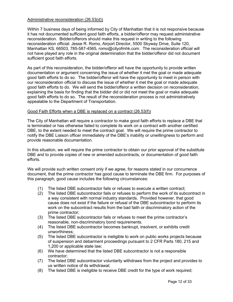## Administrative reconsideration (26.53(d))

Within 7 business days of being informed by City of Manhattan that it is not responsive because it has not documented sufficient good faith efforts, a bidder/offeror may request administrative reconsideration. Bidder/offerors should make this request in writing to the following reconsideration official: Jesse R. Romo, Airport Director, 5500 Skyway Drive, Suite 120, Manhattan KS, 66503, 785-587-4565, romo@cityofmhk.com. The reconsideration official will not have played any role in the original determination that the bidder/offeror did not document sufficient good faith efforts.

As part of this reconsideration, the bidder/offeror will have the opportunity to provide written documentation or argument concerning the issue of whether it met the goal or made adequate good faith efforts to do so. The bidder/offeror will have the opportunity to meet in person with our reconsideration official to discuss the issue of whether it met the goal or made adequate good faith efforts to do. We will send the bidder/offeror a written decision on reconsideration, explaining the basis for finding that the bidder did or did not meet the goal or make adequate good faith efforts to do so. The result of the reconsideration process is not administratively appealable to the Department of Transportation.

### Good Faith Efforts when a DBE is replaced on a contract (26.53(f))

The City of Manhattan will require a contractor to make good faith efforts to replace a DBE that is terminated or has otherwise failed to complete its work on a contract with another certified DBE, to the extent needed to meet the contract goal. We will require the prime contractor to notify the DBE Liaison officer immediately of the DBE's inability or unwillingness to perform and provide reasonable documentation.

In this situation, we will require the prime contractor to obtain our prior approval of the substitute DBE and to provide copies of new or amended subcontracts, or documentation of good faith efforts.

We will provide such written consent only if we agree, for reasons stated in our concurrence document, that the prime contractor has good cause to terminate the DBE firm. For purposes of this paragraph, good cause includes the following circumstances:

- (1) The listed DBE subcontractor fails or refuses to execute a written contract;
- (2) The listed DBE subcontractor fails or refuses to perform the work of its subcontract in a way consistent with normal industry standards. Provided however, that good cause does not exist if the failure or refusal of the DBE subcontractor to perform its work on the subcontract results from the bad faith or discriminatory action of the prime contractor;
- (3) The listed DBE subcontractor fails or refuses to meet the prime contractor's reasonable, non-discriminatory bond requirements.
- (4) The listed DBE subcontractor becomes bankrupt, insolvent, or exhibits credit unworthiness;
- (5) The listed DBE subcontractor is ineligible to work on public works projects because of suspension and debarment proceedings pursuant to 2 CFR Parts 180, 215 and 1,200 or applicable state law;
- (6) We have determined that the listed DBE subcontractor is not a responsible contractor;
- (7) The listed DBE subcontractor voluntarily withdraws from the project and provides to us written notice of its withdrawal;
- (8) The listed DBE is ineligible to receive DBE credit for the type of work required;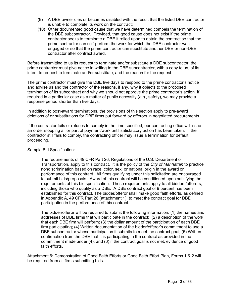- (9) A DBE owner dies or becomes disabled with the result that the listed DBE contractor is unable to complete its work on the contract;
- (10) Other documented good cause that we have determined compels the termination of the DBE subcontractor. Provided, that good cause does not exist if the prime contractor seeks to terminate a DBE it relied upon to obtain the contract so that the prime contractor can self-perform the work for which the DBE contractor was engaged or so that the prime contractor can substitute another DBE or non-DBE contractor after contract award.

Before transmitting to us its request to terminate and/or substitute a DBE subcontractor, the prime contractor must give notice in writing to the DBE subcontractor, with a copy to us, of its intent to request to terminate and/or substitute, and the reason for the request.

The prime contractor must give the DBE five days to respond to the prime contractor's notice and advise us and the contractor of the reasons, if any, why it objects to the proposed termination of its subcontract and why we should not approve the prime contractor's action. If required in a particular case as a matter of public necessity (*e.g.,* safety), we may provide a response period shorter than five days.

In addition to post-award terminations, the provisions of this section apply to pre-award deletions of or substitutions for DBE firms put forward by offerors in negotiated procurements.

If the contractor fails or refuses to comply in the time specified, our contracting office will issue an order stopping all or part of payment/work until satisfactory action has been taken. If the contractor still fails to comply, the contracting officer may issue a termination for default proceeding.

## Sample Bid Specification:

The requirements of 49 CFR Part 26, Regulations of the U.S. Department of Transportation, apply to this contract. It is the policy of the *City of Manhattan* to practice nondiscrimination based on race, color, sex, or national origin in the award or performance of this contract. All firms qualifying under this solicitation are encouraged to submit bids/proposals. Award of this contract will be conditioned upon satisfying the requirements of this bid specification. These requirements apply to all bidders/offerors, including those who qualify as a DBE. A DBE contract goal of 9 percent has been established for this contract. The bidder/offeror shall make good faith efforts, as defined in Appendix A, 49 CFR Part 26 (attachment 1), to meet the contract goal for DBE participation in the performance of this contract.

The bidder/offeror will be required to submit the following information: (1) the names and addresses of DBE firms that will participate in the contract; (2) a description of the work that each DBE firm will perform; (3) the dollar amount of the participation of each DBE firm participating; (4) Written documentation of the bidder/offeror's commitment to use a DBE subcontractor whose participation it submits to meet the contract goal; (5) Written confirmation from the DBE that it is participating in the contract as provided in the commitment made under (4); and (6) if the contract goal is not met, evidence of good faith efforts.

Attachment 6: Demonstration of Good Faith Efforts or Good Faith Effort Plan, Forms 1 & 2 will be required from all firms submitting bids.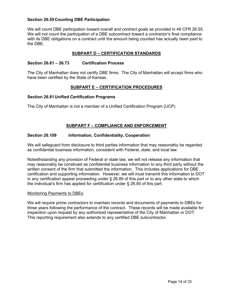## **Section 26.55Counting DBE Participation**

We will count DBE participation toward overall and contract goals as provided in 49 CFR 26.55. We will not count the participation of a DBE subcontract toward a contractor's final compliance with its DBE obligations on a contract until the amount being counted has actually been paid to the DBE.

## **SUBPART D – CERTIFICATION STANDARDS**

## **Section 26.61 – 26.73 Certification Process**

The City of Manhattan does not certify DBE firms. The City of Manhattan will accept firms who have been certified by the State of Kansas.

## **SUBPART E – CERTIFICATION PROCEDURES**

## **Section 26.81Unified Certification Programs**

The City of Manhattan is not a member of a Unified Certification Program (UCP).

# **SUBPART F – COMPLIANCE AND ENFORCEMENT**

## **Section 26.109 Information, Confidentiality, Cooperation**

We will safeguard from disclosure to third parties information that may reasonably be regarded as confidential business information, consistent with Federal, state, and local law.

Notwithstanding any provision of Federal or state law, we will not release any information that may reasonably be construed as confidential business information to any third party without the written consent of the firm that submitted the information. This includes applications for DBE certification and supporting information. However, we will must transmit this information to DOT in any certification appeal proceeding under § 26.89 of this part or to any other state to which the individual's firm has applied for certification under § 26.85 of this part.

## Monitoring Payments to DBEs

We will require prime contractors to maintain records and documents of payments to DBEs for three years following the performance of the contract. These records will be made available for inspection upon request by any authorized representative of the City of Manhattan or DOT. This reporting requirement also extends to any certified DBE subcontractor.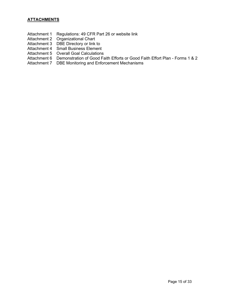- Attachment 1 Regulations: 49 CFR Part 26 or website link
- Attachment 2 Organizational Chart
- Attachment 3 DBE Directory or link to
- Attachment 4 Small Business Element
- Attachment 5 Overall Goal Calculations
- Attachment 6 Demonstration of Good Faith Efforts or Good Faith Effort Plan Forms 1 & 2
- Attachment 7 DBE Monitoring and Enforcement Mechanisms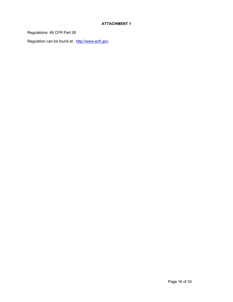Regulations: 49 CFR Part 26

Regulation can be found at: [http://www.ecfr.gov](http://www.ecfr.gov/)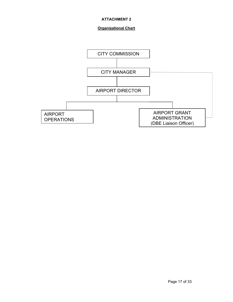# **Organizational Chart**

![](_page_16_Figure_2.jpeg)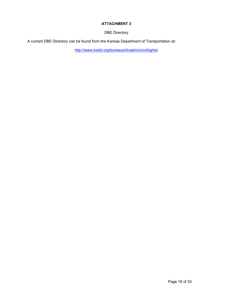DBE Directory

A current DBE Directory can be found from the Kan[sas Department of Transportation at:](http://www.ksdot.org/bureaus/divadmin/civilrights/)

<http://www.ksdot.org/bureaus/divadmin/civilrights/>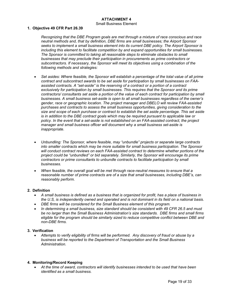#### Small Business Element

#### **1. Objective 49 CFR Part 26.39**

*Recognizing that the DBE Program goals are met through a mixture of race conscious and race neutral methods and, that by definition, DBE firms are small businesses; the Airport Sponsor seeks to implement a small business element into its current DBE policy. The Airport Sponsor is including this element to facilitate competition by and expand opportunities for small businesses. The Sponsor is committed to taking all reasonable steps to eliminate obstacles to small businesses that may preclude their participation in procurements as prime contractors or subcontractors. If necessary, the Sponsor will meet its objectives using a combination of the following methods and strategies:*

- *Set asides: Where feasible, the Sponsor will establish a percentage of the total value of all prime contract and subcontract awards to be set aside for participation by small businesses on FAAassisted contracts. A "set-aside" is the reserving of a contract or a portion of a contract exclusively for participation by small businesses. This requires that the Sponsor and its prime*  contractors/ consultants set aside a portion of the value of each contract for participation by small *businesses. A small business set-aside is open to all small businesses regardless of the owner's gender, race or geographic location. The project manager and DBELO will review FAA-assisted purchases and contracts to assess the small business opportunities, giving consideration to the size and scope of each purchase or contract to establish the set aside percentage. This set aside is in addition to the DBE contract goals which may be required pursuant to applicable law or policy. In the event that a set-aside is not established on an FAA-assisted contract, the project manager and small business officer will document why a small business set-aside is inappropriate.*
- *Unbundling: The Sponsor, where feasible, may "unbundle" projects or separate large contracts into smaller contracts which may be more suitable for small business participation. The Sponsor will conduct contract reviews on each FAA-assisted contract to determine whether portions of the project could be "unbundled" or bid separately. Similarly, the Sponsor will encourage its prime contractors or prime consultants to unbundle contracts to facilitate participation by small businesses.*
- *When feasible, the overall goal will be met through race-neutral measures to ensure that a reasonable number of prime contracts are of a size that small businesses, including DBE's, can reasonably perform.*

#### **2. Definition**

- *A small business is defined as a business that is organized for profit, has a place of business in the U.S, is independently owned and operated and is not dominant in its field on a national basis.*
- *DBE firms will be considered for the Small Business element of this program.*
- *In determining a small business, size standard should be consistent with 49 CFR 26.5 and must be no larger than the Small Business Administration's size standards. DBE firms and small firms eligible for the program should be similarly sized to reduce competitive conflict between DBE and non-DBE firms.*

#### **3. Verification**

• *Attempts to verify eligibility of firms will be performed. Any discovery of fraud or abuse by a business will be reported to the Department of Transportation and the Small Business Administration.*

#### **4. Monitoring/Record Keeping**

• *At the time of award, contractors will identify businesses intended to be used that have been identified as a small business.*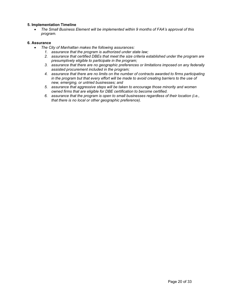### **5. Implementation Timeline**

• *The Small Business Element will be implemented within 9 months of FAA's approval of this program.*

#### **6. Assurance**

- *The City of Manhattan makes the following assurances:*
	- *1. assurance that the program is authorized under state law;*
	- *2. assurance that certified DBEs that meet the size criteria established under the program are presumptively eligible to participate in the program;*
	- *3. assurance that there are no geographic preferences or limitations imposed on any federally assisted procurement included in the program;*
	- *4. assurance that there are no limits on the number of contracts awarded to firms participating in the program but that every effort will be made to avoid creating barriers to the use of new, emerging, or untried businesses; and*
	- *5. assurance that aggressive steps will be taken to encourage those minority and women owned firms that are eligible for DBE certification to become certified.*
	- *6. assurance that the program is open to small businesses regardless of their location (i.e., that there is no local or other geographic preference).*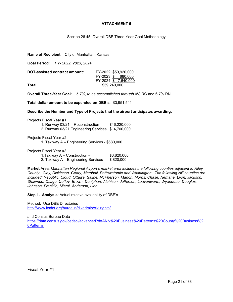### Section 26.45: Overall DBE Three-Year Goal Methodology

**Name of Recipient**: City of Manhattan, Kansas

**Goal Period**: *FY- 2022, 2023, 2024*

| DOT-assisted contract amount: | FY-2022 \$50.920.000 |
|-------------------------------|----------------------|
|                               | FY-2023 \$ 680,000   |
|                               | FY-2024 \$7.640.000  |
| Total                         | \$59,240,000         |

**Overall Three-Year Goal**: *6.7%, to be accomplished through* 0% RC and 6.7% RN

**Total dollar amount to be expended on DBE's**: \$3,951,541

**Describe the Number and Type of Projects that the airport anticipates awarding:**

Projects Fiscal Year #1

1. Runway 03/21 – Reconstruction \$46,220,000

2. Runway 03/21 Engineering Services \$ 4,700,000

Projects Fiscal Year #2

1. Taxiway A – Engineering Services - \$680,000

Projects Fiscal Year #3

1.Taxiway A – Construction - \$6,820,000 2. Taxiway A – Engineering Services \$820,000

**Market** Area: *Manhattan Regional Airport's market area includes the following counties adjacent to Riley County: Clay, Dickinson, Geary, Marshall, Pottawatomie and Washington. The following NE counties are included: Republic, Cloud, Ottawa, Saline, McPherson, Marion, Morris, Chase, Nemaha, Lyon, Jackson, Shawnee, Osage, Coffey, Brown, Doniphan, Atchison, Jefferson, Leavenworth, Wyandotte, Douglas, Johnson, Franklin, Miami, Anderson, Linn*

**Step 1. Analysis**: Actual relative availability of DBE's

Method: Use DBE Directories <http://www.ksdot.org/bureaus/divadmin/civilrights/>

and Census Bureau Data

[https://data.census.gov/cedsci/advanced?d=ANN%20Business%20Patterns%20County%20Business%2](https://data.census.gov/cedsci/advanced?d=ANN%20Business%20Patterns%20County%20Business%20Patterns) [0Patterns](https://data.census.gov/cedsci/advanced?d=ANN%20Business%20Patterns%20County%20Business%20Patterns)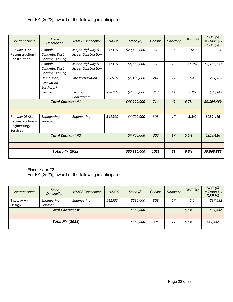For FY-[*2022*], award of the following is anticipated:

| <b>Contract Name</b>                                                 | Trade<br><b>Description</b>                     | <b>NAICS Description</b>                      | <b>NAICS</b> | Trade (\$)   | Census | <b>Directory</b> | DBE (%) | DBE(S)<br>$(= Trade $ x$<br>DBE %) |
|----------------------------------------------------------------------|-------------------------------------------------|-----------------------------------------------|--------------|--------------|--------|------------------|---------|------------------------------------|
| Runway 03/21<br>Reconstruction -<br>Construction                     | Asphalt,<br>Concrete, Dust<br>Control, Striping | Major Highway &<br><b>Street Construction</b> | 237310       | \$29,420,000 | 61     | 0                | 0%      | \$0                                |
|                                                                      | Asphalt,<br>Concrete, Dust<br>Control, Striping | Minor Highway &<br><b>Street Construction</b> | 237310       | \$8,850,000  | 61     | 19               | 31.1%   | \$2,756,557                        |
|                                                                      | Demolition,<br>Excavation,<br>Earthwork         | <b>Site Preparation</b>                       | 238910       | \$5,400,000  | 242    | 12               | 5%      | \$267,769                          |
|                                                                      | Electrical                                      | Electrical<br>Contractors                     | 238210       | \$2,550,000  | 350    | 11               | 3.1%    | \$80,143                           |
| <b>Total Contract #1</b>                                             |                                                 | \$46,220,000                                  | 714          | 42           | 6.7%   | \$3,104,469      |         |                                    |
|                                                                      |                                                 |                                               |              |              |        |                  |         |                                    |
| Runway 03/21<br>Reconstruction-<br>Engineering/CA<br><b>Services</b> | Engineering<br><b>Services</b>                  | Engineering                                   | 541330       | \$4,700,000  | 308    | 17               | 5.5%    | \$259,416                          |
| <b>Total Contract #2</b>                                             |                                                 | \$4,700,000                                   | 308          | 17           | 5.5%   | \$259,416        |         |                                    |
|                                                                      |                                                 |                                               |              |              |        |                  |         |                                    |
|                                                                      | <b>Total FY-[2022]</b>                          |                                               |              | \$50,920,000 | 1022   | 59               | 6.6%    | \$3,363,885                        |

Fiscal Year #2

For FY-[*2023*], award of the following is anticipated:

| <b>Contract Name</b> | Trade<br>Description     | <b>NAICS Description</b> | <b>NAICS</b> | Trade (\$) | Census | <b>Directory</b> | DBE(%) | DBE(S)<br>$(= Trace $ x$<br>DBE %) |
|----------------------|--------------------------|--------------------------|--------------|------------|--------|------------------|--------|------------------------------------|
| Taxiway A -          | Engineering              | Engineering              | 541330       | \$680,000  | 308    | 17               | 5.5    | \$37,532                           |
| Design               | <b>Services</b>          |                          |              |            |        |                  |        |                                    |
|                      | <b>Total Contract #1</b> |                          |              | \$680,000  |        |                  | 5.5%   | \$37,532                           |
|                      |                          |                          |              |            |        |                  |        |                                    |
|                      | <b>Total FY-[2023]</b>   |                          |              | \$680,000  | 308    | 17               | 5.5%   | \$37,532                           |
|                      |                          |                          |              |            |        |                  |        |                                    |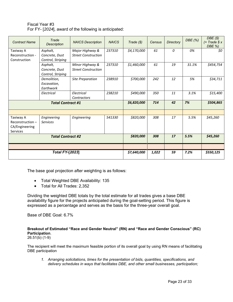| Fiscal Year #3                                         |
|--------------------------------------------------------|
| For FY- [2024], award of the following is anticipated: |

| <b>Contract Name</b>                                              | Trade<br><b>Description</b>                     | <b>NAICS Description</b>                      | <b>NAICS</b> | Trade (\$)  | Census | <b>Directory</b> | DBE (%) | DBE(S)<br>$(=\mathsf{Trace} \mathcal{S} \times \mathcal{S})$<br>DBE %) |
|-------------------------------------------------------------------|-------------------------------------------------|-----------------------------------------------|--------------|-------------|--------|------------------|---------|------------------------------------------------------------------------|
| Taxiway A<br>Reconstruction -<br>Construction                     | Asphalt,<br>Concrete, Dust<br>Control, Striping | Major Highway &<br><b>Street Construction</b> | 237310       | \$4,170,000 | 61     | 0                | 0%      | \$0                                                                    |
|                                                                   | Asphalt,<br>Concrete, Dust<br>Control, Striping | Minor Highway &<br><b>Street Construction</b> | 237310       | \$1,460,000 | 61     | 19               | 31.1%   | \$454,754                                                              |
|                                                                   | Demolition,<br>Excavation,<br>Earthwork         | <b>Site Preparation</b>                       | 238910       | \$700,000   | 242    | 12               | 5%      | \$34,711                                                               |
|                                                                   | Electrical                                      | Electrical<br>Contractors                     | 238210       | \$490,000   | 350    | 11               | 3.1%    | \$15,400                                                               |
| <b>Total Contract #1</b>                                          |                                                 | \$6,820,000                                   | 714          | 42          | 7%     | \$504,865        |         |                                                                        |
|                                                                   |                                                 |                                               |              |             |        |                  |         |                                                                        |
| Taxiway A<br>Reconstruction-<br>CA/Engineering<br><b>Services</b> | Engineering<br><b>Services</b>                  | Engineering                                   | 541330       | \$820,000   | 308    | 17               | 5.5%    | \$45,260                                                               |
| <b>Total Contract #2</b>                                          |                                                 | \$820,000                                     | 308          | 17          | 5.5%   | \$45,260         |         |                                                                        |
|                                                                   |                                                 |                                               |              |             |        |                  |         |                                                                        |
|                                                                   | <b>Total FY-[2023]</b>                          |                                               |              | \$7,640,000 | 1,022  | 59               | 7.2%    | \$550,125                                                              |

The base goal projection after weighting is as follows:

- Total Weighted DBE Availability: 135
- Total for All Trades: 2,352

Dividing the weighted DBE totals by the total estimate for all trades gives a base DBE availability figure for the projects anticipated during the goal-setting period. This figure is expressed as a percentage and serves as the basis for the three-year overall goal.

Base of DBE Goal: 6.7%

**Breakout of Estimated "Race and Gender Neutral" (RN) and "Race and Gender Conscious" (RC) Participation**.

26.51(b) (1-9)

The recipient will meet the maximum feasible portion of its overall goal by using RN means of facilitating DBE participation

*1. Arranging solicitations, times for the presentation of bids, quantities, specifications, and delivery schedules in ways that facilitates DBE, and other small businesses, participation;*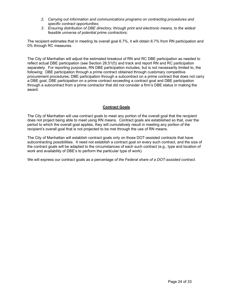- *2. Carrying out information and communications programs on contracting procedures and specific contract opportunities;*
- *3. Ensuring distribution of DBE directory, through print and electronic means, to the widest feasible universe of potential prime contractors;*

The recipient estimates that in meeting its overall goal 6.7%, it will obtain 6.7% from RN participation and 0% through RC measures.

The City of Manhattan will adjust the estimated breakout of RN and RC DBE participation as needed to reflect actual DBE participation (see Section 26.51(f)) and track and report RN and RC participation separately. For reporting purposes, RN DBE participation includes, but is not necessarily limited to, the following: DBE participation through a prime contract obtained through customary competitive procurement procedures; DBE participation through a subcontract on a prime contract that does not carry a DBE goal, DBE participation on a prime contract exceeding a contract goal and DBE participation through a subcontract from a prime contractor that did not consider a firm's DBE status in making the award.

### **Contract Goals**

The City of Manhattan will use contract goals to meet any portion of the overall goal that the recipient does not project being able to meet using RN means. Contract goals are established so that, over the period to which the overall goal applies, they will cumulatively result in meeting any portion of the recipient's overall goal that is not projected to be met through the use of RN means.

The City of Manhattan will establish contract goals only on those DOT-assisted contracts that have subcontracting possibilities. It need not establish a contract goal on every such contract, and the size of the contract goals will be adapted to the circumstances of each such contract (e.g., type and location of work and availability of DBE's to perform the particular type of work).

We will express our contract goals as a percentage *of the Federal share of a DOT-assisted contract.*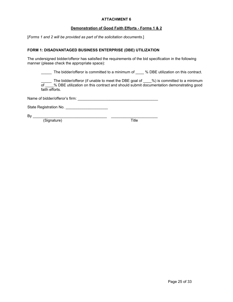### **Demonstration of Good Faith Efforts - Forms 1 & 2**

[*Forms 1 and 2 will be provided as part of the solicitation documents*.]

### **FORM 1: DISADVANTAGED BUSINESS ENTERPRISE (DBE) UTILIZATION**

The undersigned bidder/offeror has satisfied the requirements of the bid specification in the following manner (please check the appropriate space):

\_\_\_\_\_ The bidder/offeror is committed to a minimum of \_\_\_\_ % DBE utilization on this contract.

\_\_\_\_\_ The bidder/offeror (if unable to meet the DBE goal of \_\_\_\_%) is committed to a minimum of \_\_\_\_% DBE utilization on this contract and should submit documentation demonstrating good faith efforts.

Name of bidder/offeror's firm: \_\_\_\_\_\_\_\_\_\_\_\_\_\_\_\_\_\_\_\_\_\_\_\_\_\_\_\_\_\_\_\_\_\_\_\_\_\_

State Registration No. \_\_\_\_\_\_\_\_\_\_\_\_\_\_\_\_\_\_\_\_

(Signature) Title

By \_\_\_\_\_\_\_\_\_\_\_\_\_\_\_\_\_\_\_\_\_\_\_\_\_\_\_\_\_\_\_\_\_\_\_ \_\_\_\_\_\_\_\_\_\_\_\_\_\_\_\_\_\_\_\_\_\_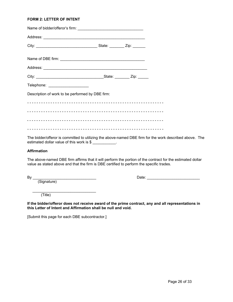### **FORM 2: LETTER OF INTENT**

| Telephone: ______________________                |  |  |
|--------------------------------------------------|--|--|
| Description of work to be performed by DBE firm: |  |  |
|                                                  |  |  |
|                                                  |  |  |
|                                                  |  |  |
|                                                  |  |  |
|                                                  |  |  |

The bidder/offeror is committed to utilizing the above-named DBE firm for the work described above. The estimated dollar value of this work is \$

#### **Affirmation**

The above-named DBE firm affirms that it will perform the portion of the contract for the estimated dollar value as stated above and that the firm is DBE certified to perform the specific trades.

(Signature)

By \_\_\_\_\_\_\_\_\_\_\_\_\_\_\_\_\_\_\_\_\_\_\_\_\_\_\_\_\_\_ Date: \_\_\_\_\_\_\_\_\_\_\_\_\_\_\_\_\_\_\_\_\_\_\_\_\_

(Title)

**If the bidder/offeror does not receive award of the prime contract, any and all representations in this Letter of Intent and Affirmation shall be null and void.**

[Submit this page for each DBE subcontractor.]

\_\_\_\_\_\_\_\_\_\_\_\_\_\_\_\_\_\_\_\_\_\_\_\_\_\_\_\_\_\_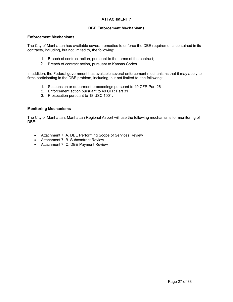### **DBE Enforcement Mechanisms**

#### **Enforcement Mechanisms**

The City of Manhattan has available several remedies to enforce the DBE requirements contained in its contracts, including, but not limited to, the following:

- 1. Breach of contract action, pursuant to the terms of the contract;
- 2. Breach of contract action, pursuant to Kansas Codes.

In addition, the Federal government has available several enforcement mechanisms that it may apply to firms participating in the DBE problem, including, but not limited to, the following:

- 1. Suspension or debarment proceedings pursuant to 49 CFR Part 26
- 2. Enforcement action pursuant to 49 CFR Part 31
- 3. Prosecution pursuant to 18 USC 1001.

### **Monitoring Mechanisms**

The City of Manhattan, Manhattan Regional Airport will use the following mechanisms for monitoring of DBE:

- Attachment 7. A. DBE Performing Scope of Services Review
- Attachment 7. B. Subcontract Review
- Attachment 7. C. DBE Payment Review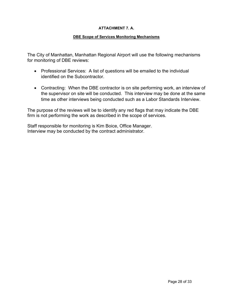## **ATTACHMENT 7. A.**

## **DBE Scope of Services Monitoring Mechanisms**

The City of Manhattan, Manhattan Regional Airport will use the following mechanisms for monitoring of DBE reviews:

- Professional Services: A list of questions will be emailed to the individual identified on the Subcontractor.
- Contracting: When the DBE contractor is on site performing work, an interview of the supervisor on site will be conducted. This interview may be done at the same time as other interviews being conducted such as a Labor Standards Interview.

The purpose of the reviews will be to identify any red flags that may indicate the DBE firm is not performing the work as described in the scope of services.

Staff responsible for monitoring is Kim Boice, Office Manager. Interview may be conducted by the contract administrator.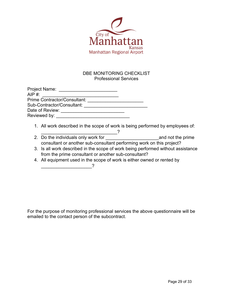![](_page_28_Picture_0.jpeg)

# DBE MONITORING CHECKLIST Professional Services

| Project Name:                |  |
|------------------------------|--|
| AIP $#$ :                    |  |
| Prime Contractor/Consultant: |  |
| Sub-Contractor/Consultant:   |  |
| Date of Review:              |  |
| Reviewed by:                 |  |

- 1. All work described in the scope of work is being performed by employees of:
- $\sim$  2 2. Do the individuals only work for \_\_\_\_\_\_\_\_\_\_\_\_\_\_\_\_\_\_\_\_\_and not the prime consultant or another sub-consultant performing work on this project?
- 3. Is all work described in the scope of work being performed without assistance from the prime consultant or another sub-consultant?
- 4. All equipment used in the scope of work is either owned or rented by \_\_\_\_\_\_\_\_\_\_\_\_\_\_\_\_\_\_\_\_?

For the purpose of monitoring professional services the above questionnaire will be emailed to the contact person of the subcontract.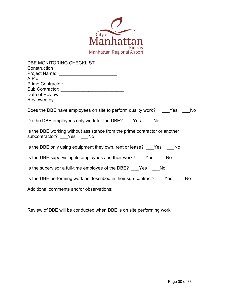![](_page_29_Picture_0.jpeg)

| DBE MONITORING CHECKLIST                                                                            |
|-----------------------------------------------------------------------------------------------------|
| Construction                                                                                        |
| Project Name: ______________________________                                                        |
|                                                                                                     |
| Prime Contractor: __________________________                                                        |
| Sub Contractor: ____________________________                                                        |
|                                                                                                     |
|                                                                                                     |
|                                                                                                     |
| Does the DBE have employees on site to perform quality work? Yes No                                 |
| Do the DBE employees only work for the DBE? Yes No                                                  |
| Is the DBE working without assistance from the prime contractor or another<br>subcontractor? Yes No |
| Is the DBE only using equipment they own, rent or lease? Yes No                                     |
| Is the DBE supervising its employees and their work? Yes No                                         |
| Is the supervisor a full-time employee of the DBE? Yes No                                           |
| Is the DBE performing work as described in their sub-contract? Yes No                               |
| Additional comments and/or observations:                                                            |

Review of DBE will be conducted when DBE is on site performing work.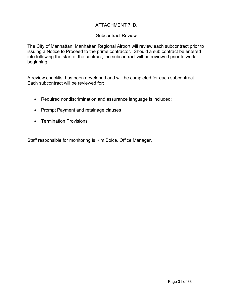# ATTACHMENT 7. B.

# Subcontract Review

The City of Manhattan, Manhattan Regional Airport will review each subcontract prior to issuing a Notice to Proceed to the prime contractor. Should a sub contract be entered into following the start of the contract, the subcontract will be reviewed prior to work beginning.

A review checklist has been developed and will be completed for each subcontract. Each subcontract will be reviewed for:

- Required nondiscrimination and assurance language is included:
- Prompt Payment and retainage clauses
- Termination Provisions

Staff responsible for monitoring is Kim Boice, Office Manager.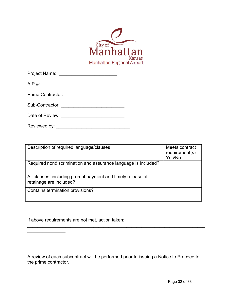![](_page_31_Picture_0.jpeg)

| Project Name:                                     |  |
|---------------------------------------------------|--|
| $AIP \#:$                                         |  |
| Prime Contractor: <b>Canada Prime Contractor:</b> |  |
| Sub-Contractor:                                   |  |
| Date of Review:                                   |  |

Reviewed by: \_\_\_\_\_\_\_\_\_\_\_\_\_\_\_\_\_\_\_\_\_\_\_\_\_\_\_\_\_

| Description of required language/clauses                                               | Meets contract<br>requirement(s)<br>Yes/No |
|----------------------------------------------------------------------------------------|--------------------------------------------|
| Required nondiscrimination and assurance language is included?                         |                                            |
| All clauses, including prompt payment and timely release of<br>retainage are included? |                                            |
| Contains termination provisions?                                                       |                                            |

If above requirements are not met, action taken:

 $\overline{\phantom{a}}$ 

A review of each subcontract will be performed prior to issuing a Notice to Proceed to the prime contractor.

\_\_\_\_\_\_\_\_\_\_\_\_\_\_\_\_\_\_\_\_\_\_\_\_\_\_\_\_\_\_\_\_\_\_\_\_\_\_\_\_\_\_\_\_\_\_\_\_\_\_\_\_\_\_\_\_\_\_\_\_\_\_\_\_\_\_\_\_\_\_